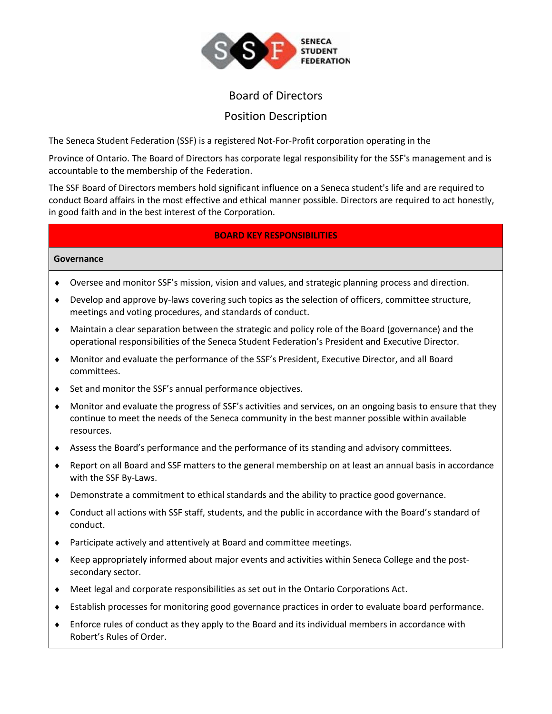

# Position Description

The Seneca Student Federation (SSF) is a registered Not-For-Profit corporation operating in the

Province of Ontario. The Board of Directors has corporate legal responsibility for the SSF's management and is accountable to the membership of the Federation.

The SSF Board of Directors members hold significant influence on a Seneca student's life and are required to conduct Board affairs in the most effective and ethical manner possible. Directors are required to act honestly, in good faith and in the best interest of the Corporation.

## **BOARD KEY RESPONSIBILITIES**

#### **Governance**

- Oversee and monitor SSF's mission, vision and values, and strategic planning process and direction.
- Develop and approve by-laws covering such topics as the selection of officers, committee structure, meetings and voting procedures, and standards of conduct.
- Maintain a clear separation between the strategic and policy role of the Board (governance) and the operational responsibilities of the Seneca Student Federation's President and Executive Director.
- Monitor and evaluate the performance of the SSF's President, Executive Director, and all Board committees.
- ◆ Set and monitor the SSF's annual performance objectives.
- Monitor and evaluate the progress of SSF's activities and services, on an ongoing basis to ensure that they continue to meet the needs of the Seneca community in the best manner possible within available resources.
- Assess the Board's performance and the performance of its standing and advisory committees.
- Report on all Board and SSF matters to the general membership on at least an annual basis in accordance with the SSF By-Laws.
- Demonstrate a commitment to ethical standards and the ability to practice good governance.
- Conduct all actions with SSF staff, students, and the public in accordance with the Board's standard of conduct.
- Participate actively and attentively at Board and committee meetings.
- Keep appropriately informed about major events and activities within Seneca College and the postsecondary sector.
- Meet legal and corporate responsibilities as set out in the Ontario Corporations Act.
- Establish processes for monitoring good governance practices in order to evaluate board performance.
- Enforce rules of conduct as they apply to the Board and its individual members in accordance with Robert's Rules of Order.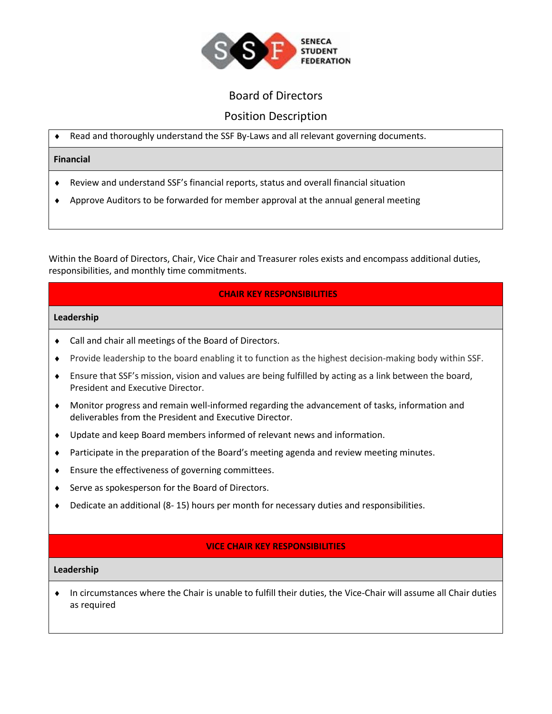

## Position Description

Read and thoroughly understand the SSF By-Laws and all relevant governing documents.

#### **Financial**

- Review and understand SSF's financial reports, status and overall financial situation
- Approve Auditors to be forwarded for member approval at the annual general meeting

Within the Board of Directors, Chair, Vice Chair and Treasurer roles exists and encompass additional duties, responsibilities, and monthly time commitments.

### **CHAIR KEY RESPONSIBILITIES**

#### **Leadership**

- Call and chair all meetings of the Board of Directors.
- Provide leadership to the board enabling it to function as the highest decision-making body within SSF.
- Ensure that SSF's mission, vision and values are being fulfilled by acting as a link between the board, President and Executive Director.
- Monitor progress and remain well-informed regarding the advancement of tasks, information and deliverables from the President and Executive Director.
- Update and keep Board members informed of relevant news and information.
- Participate in the preparation of the Board's meeting agenda and review meeting minutes.
- Ensure the effectiveness of governing committees.
- ◆ Serve as spokesperson for the Board of Directors.
- Dedicate an additional (8- 15) hours per month for necessary duties and responsibilities.

#### **VICE CHAIR KEY RESPONSIBILITIES**

#### **Leadership**

 In circumstances where the Chair is unable to fulfill their duties, the Vice-Chair will assume all Chair duties as required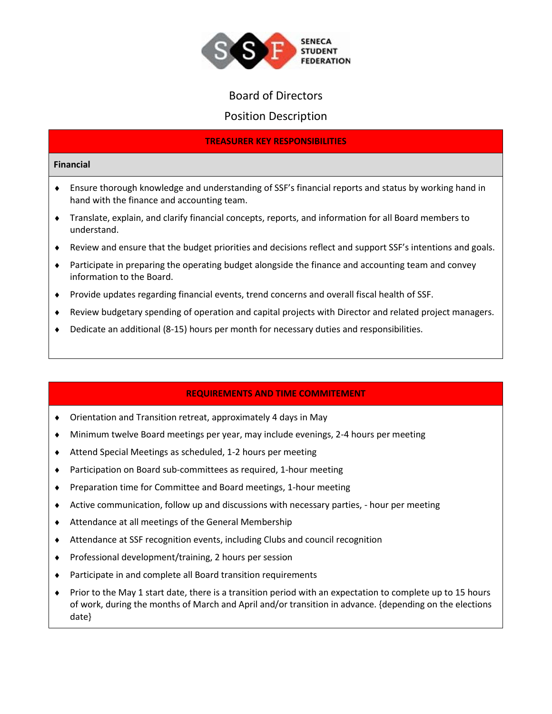

## Position Description

### **TREASURER KEY RESPONSIBILITIES**

#### **Financial**

- Ensure thorough knowledge and understanding of SSF's financial reports and status by working hand in hand with the finance and accounting team.
- Translate, explain, and clarify financial concepts, reports, and information for all Board members to understand.
- Review and ensure that the budget priorities and decisions reflect and support SSF's intentions and goals.
- Participate in preparing the operating budget alongside the finance and accounting team and convey information to the Board.
- Provide updates regarding financial events, trend concerns and overall fiscal health of SSF.
- Review budgetary spending of operation and capital projects with Director and related project managers.
- Dedicate an additional (8-15) hours per month for necessary duties and responsibilities.

## **REQUIREMENTS AND TIME COMMITEMENT**

- Orientation and Transition retreat, approximately 4 days in May
- Minimum twelve Board meetings per year, may include evenings, 2-4 hours per meeting
- Attend Special Meetings as scheduled, 1-2 hours per meeting
- Participation on Board sub-committees as required, 1-hour meeting
- Preparation time for Committee and Board meetings, 1-hour meeting
- Active communication, follow up and discussions with necessary parties, hour per meeting
- Attendance at all meetings of the General Membership
- Attendance at SSF recognition events, including Clubs and council recognition
- ◆ Professional development/training, 2 hours per session
- Participate in and complete all Board transition requirements
- ◆ Prior to the May 1 start date, there is a transition period with an expectation to complete up to 15 hours of work, during the months of March and April and/or transition in advance. {depending on the elections date}